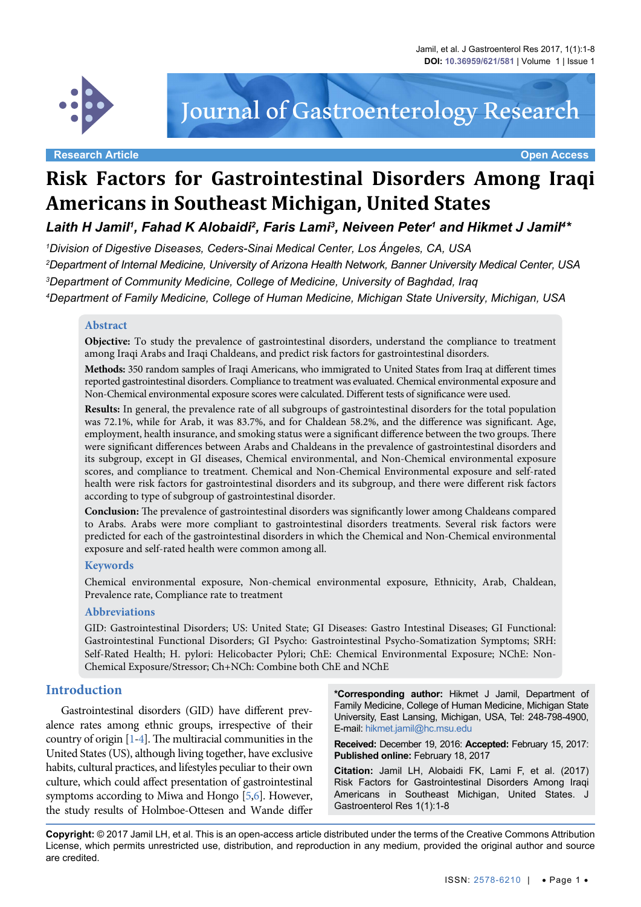

# Journal of Gastroenterology Research

**Research Article Open Access**

# **Risk Factors for Gastrointestinal Disorders Among Iraqi Americans in Southeast Michigan, United States**

Laith H Jamil', Fahad K Alobaidi<sup>2</sup>, Faris Lami<sup>3</sup>, Neiveen Peter<sup>1</sup> and Hikmet J Jamil<sup>4</sup>\*

 *Division of Digestive Diseases, Ceders-Sinai Medical Center, Los Ángeles, CA, USA Department of Internal Medicine, University of Arizona Health Network, Banner University Medical Center, USA Department of Community Medicine, College of Medicine, University of Baghdad, Iraq Department of Family Medicine, College of Human Medicine, Michigan State University, Michigan, USA*

#### **Abstract**

**Objective:** To study the prevalence of gastrointestinal disorders, understand the compliance to treatment among Iraqi Arabs and Iraqi Chaldeans, and predict risk factors for gastrointestinal disorders.

**Methods:** 350 random samples of Iraqi Americans, who immigrated to United States from Iraq at different times reported gastrointestinal disorders. Compliance to treatment was evaluated. Chemical environmental exposure and Non-Chemical environmental exposure scores were calculated. Different tests of significance were used.

**Results:** In general, the prevalence rate of all subgroups of gastrointestinal disorders for the total population was 72.1%, while for Arab, it was 83.7%, and for Chaldean 58.2%, and the difference was significant. Age, employment, health insurance, and smoking status were a significant difference between the two groups. There were significant differences between Arabs and Chaldeans in the prevalence of gastrointestinal disorders and its subgroup, except in GI diseases, Chemical environmental, and Non-Chemical environmental exposure scores, and compliance to treatment. Chemical and Non-Chemical Environmental exposure and self-rated health were risk factors for gastrointestinal disorders and its subgroup, and there were different risk factors according to type of subgroup of gastrointestinal disorder.

**Conclusion:** The prevalence of gastrointestinal disorders was significantly lower among Chaldeans compared to Arabs. Arabs were more compliant to gastrointestinal disorders treatments. Several risk factors were predicted for each of the gastrointestinal disorders in which the Chemical and Non-Chemical environmental exposure and self-rated health were common among all.

#### **Keywords**

Chemical environmental exposure, Non-chemical environmental exposure, Ethnicity, Arab, Chaldean, Prevalence rate, Compliance rate to treatment

#### **Abbreviations**

GID: Gastrointestinal Disorders; US: United State; GI Diseases: Gastro Intestinal Diseases; GI Functional: Gastrointestinal Functional Disorders; GI Psycho: Gastrointestinal Psycho-Somatization Symptoms; SRH: Self-Rated Health; H. pylori: Helicobacter Pylori; ChE: Chemical Environmental Exposure; NChE: Non-Chemical Exposure/Stressor; Ch+NCh: Combine both ChE and NChE

#### **Introduction**

Gastrointestinal disorders (GID) have different prevalence rates among ethnic groups, irrespective of their country of origin [\[1](#page-6-0)-[4\]](#page-6-1). The multiracial communities in the United States (US), although living together, have exclusive habits, cultural practices, and lifestyles peculiar to their own culture, which could affect presentation of gastrointestinal symptoms according to Miwa and [Hongo](http://www.ncbi.nlm.nih.gov/pubmed?term=%22Hongo M%22%5BAuthor%5D) [\[5](#page-6-2),[6\]](#page-6-3). However, the study results of Holmboe-Ottesen and Wande differ

**\*Corresponding author:** Hikmet J Jamil, Department of Family Medicine, College of Human Medicine, Michigan State University, East Lansing, Michigan, USA, Tel: 248-798-4900, E-mail: hikmet.jamil@hc.msu.edu

**Received:** December 19, 2016: **Accepted:** February 15, 2017: **Published online:** February 18, 2017

**Citation:** Jamil LH, Alobaidi FK, Lami F, et al. (2017) Risk Factors for Gastrointestinal Disorders Among Iraqi Americans in Southeast Michigan, United States. J Gastroenterol Res 1(1):1-8

**Copyright:** © 2017 Jamil LH, et al. This is an open-access article distributed under the terms of the Creative Commons Attribution License, which permits unrestricted use, distribution, and reproduction in any medium, provided the original author and source are credited.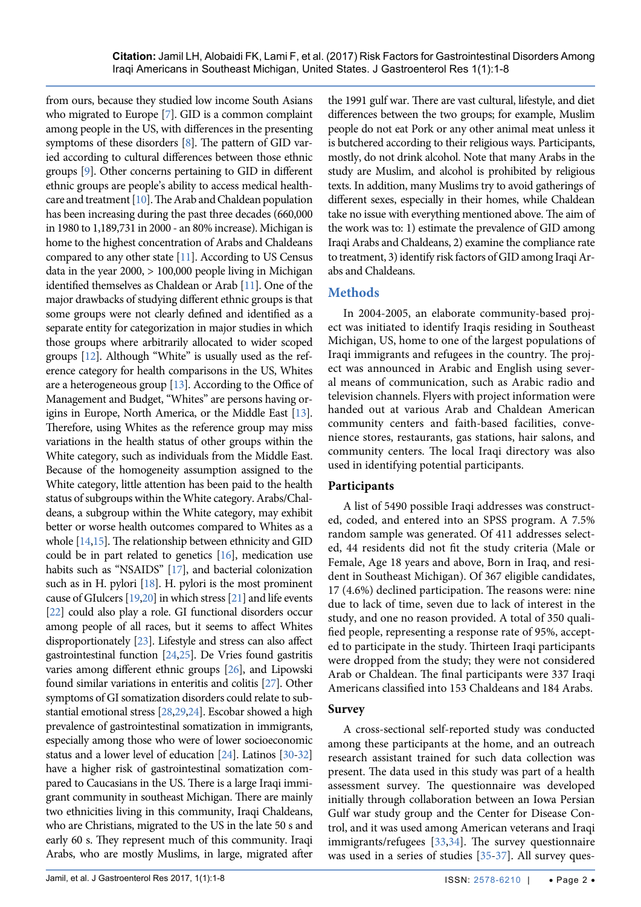from ours, because they studied low income South Asians who migrated to Europe [\[7](#page-6-4)]. GID is a common complaint among people in the US, with differences in the presenting symptoms of these disorders [\[8](#page-6-5)]. The pattern of GID varied according to cultural differences between those ethnic groups [\[9](#page-6-6)]. Other concerns pertaining to GID in different ethnic groups are people's ability to access medical healthcare and treatment [\[10](#page-6-7)]. The Arab and Chaldean population has been increasing during the past three decades (660,000 in 1980 to 1,189,731 in 2000 - an 80% increase). Michigan is home to the highest concentration of Arabs and Chaldeans compared to any other state [\[11](#page-6-8)]. According to US Census data in the year 2000, > 100,000 people living in Michigan identified themselves as Chaldean or Arab [\[11\]](#page-6-8). One of the major drawbacks of studying different ethnic groups is that some groups were not clearly defined and identified as a separate entity for categorization in major studies in which those groups where arbitrarily allocated to wider scoped groups [[12\]](#page-6-9). Although "White" is usually used as the reference category for health comparisons in the US, Whites are a heterogeneous group [\[13](#page-6-10)]. According to the Office of Management and Budget, "Whites" are persons having origins in Europe, North America, or the Middle East [\[13](#page-6-10)]. Therefore, using Whites as the reference group may miss variations in the health status of other groups within the White category, such as individuals from the Middle East. Because of the homogeneity assumption assigned to the White category, little attention has been paid to the health status of subgroups within the White category. Arabs/Chaldeans, a subgroup within the White category, may exhibit better or worse health outcomes compared to Whites as a whole [\[14](#page-6-11)[,15](#page-6-12)]. The relationship between ethnicity and GID could be in part related to genetics [[16\]](#page-6-13), medication use habits such as "NSAIDS" [\[17](#page-6-14)], and bacterial colonization such as in H. pylori [[18\]](#page-6-15). H. pylori is the most prominent cause of GIulcers [[19](#page-6-16)[,20](#page-6-17)] in which stress [\[21](#page-6-18)] and life events [\[22](#page-6-19)] could also play a role. GI functional disorders occur among people of all races, but it seems to affect Whites disproportionately [[23\]](#page-6-20). Lifestyle and stress can also affect gastrointestinal function [\[24](#page-6-21)[,25\]](#page-6-22). De Vries found gastritis varies among different ethnic groups [[26\]](#page-6-23), and Lipowski found similar variations in enteritis and colitis [\[27](#page-6-24)]. Other symptoms of GI somatization disorders could relate to substantial emotional stress [\[28](#page-6-25)[,29](#page-6-26),[24\]](#page-6-21). Escobar showed a high prevalence of gastrointestinal somatization in immigrants, especially among those who were of lower socioeconomic status and a lower level of education [[24\]](#page-6-21). Latinos [\[30-](#page-6-27)[32\]](#page-6-28) have a higher risk of gastrointestinal somatization compared to Caucasians in the US. There is a large Iraqi immigrant community in southeast Michigan. There are mainly two ethnicities living in this community, Iraqi Chaldeans, who are Christians, migrated to the US in the late 50 s and early 60 s. They represent much of this community. Iraqi Arabs, who are mostly Muslims, in large, migrated after

the 1991 gulf war. There are vast cultural, lifestyle, and diet differences between the two groups; for example, Muslim people do not eat Pork or any other animal meat unless it is butchered according to their religious ways. Participants, mostly, do not drink alcohol. Note that many Arabs in the study are Muslim, and alcohol is prohibited by religious texts. In addition, many Muslims try to avoid gatherings of different sexes, especially in their homes, while Chaldean take no issue with everything mentioned above. The aim of the work was to: 1) estimate the prevalence of GID among Iraqi Arabs and Chaldeans, 2) examine the compliance rate to treatment, 3) identify risk factors of GID among Iraqi Arabs and Chaldeans.

## **Methods**

In 2004-2005, an elaborate community-based project was initiated to identify Iraqis residing in Southeast Michigan, US, home to one of the largest populations of Iraqi immigrants and refugees in the country. The project was announced in Arabic and English using several means of communication, such as Arabic radio and television channels. Flyers with project information were handed out at various Arab and Chaldean American community centers and faith-based facilities, convenience stores, restaurants, gas stations, hair salons, and community centers. The local Iraqi directory was also used in identifying potential participants.

#### **Participants**

A list of 5490 possible Iraqi addresses was constructed, coded, and entered into an SPSS program. A 7.5% random sample was generated. Of 411 addresses selected, 44 residents did not fit the study criteria (Male or Female, Age 18 years and above, Born in Iraq, and resident in Southeast Michigan). Of 367 eligible candidates, 17 (4.6%) declined participation. The reasons were: nine due to lack of time, seven due to lack of interest in the study, and one no reason provided. A total of 350 qualified people, representing a response rate of 95%, accepted to participate in the study. Thirteen Iraqi participants were dropped from the study; they were not considered Arab or Chaldean. The final participants were 337 Iraqi Americans classified into 153 Chaldeans and 184 Arabs.

#### **Survey**

A cross-sectional self-reported study was conducted among these participants at the home, and an outreach research assistant trained for such data collection was present. The data used in this study was part of a health assessment survey. The questionnaire was developed initially through collaboration between an Iowa Persian Gulf war study group and the Center for Disease Control, and it was used among American veterans and Iraqi immigrants/refugees [[33](#page-6-29),[34](#page-6-30)]. The survey questionnaire was used in a series of studies [\[35](#page-7-0)[-37\]](#page-7-1). All survey ques-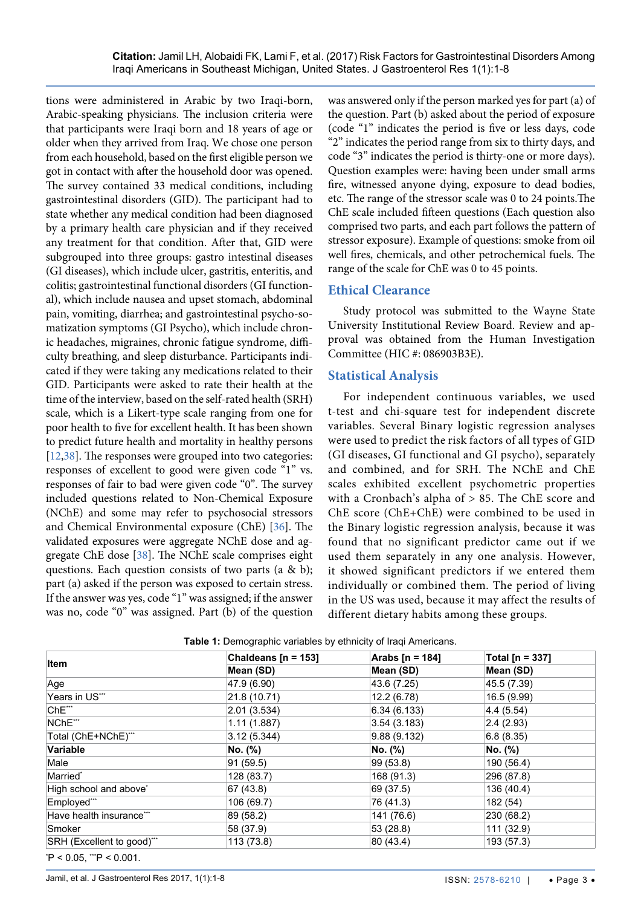tions were administered in Arabic by two Iraqi-born, Arabic-speaking physicians. The inclusion criteria were that participants were Iraqi born and 18 years of age or older when they arrived from Iraq. We chose one person from each household, based on the first eligible person we got in contact with after the household door was opened. The survey contained 33 medical conditions, including gastrointestinal disorders (GID). The participant had to state whether any medical condition had been diagnosed by a primary health care physician and if they received any treatment for that condition. After that, GID were subgrouped into three groups: gastro intestinal diseases (GI diseases), which include ulcer, gastritis, enteritis, and colitis; gastrointestinal functional disorders (GI functional), which include nausea and upset stomach, abdominal pain, vomiting, diarrhea; and gastrointestinal psycho-somatization symptoms (GI Psycho), which include chronic headaches, migraines, chronic fatigue syndrome, difficulty breathing, and sleep disturbance. Participants indicated if they were taking any medications related to their GID. Participants were asked to rate their health at the time of the interview, based on the self-rated health (SRH) scale, which is a Likert-type scale ranging from one for poor health to five for excellent health. It has been shown to predict future health and mortality in healthy persons [\[12,](#page-6-9)[38\]](#page-7-2). The responses were grouped into two categories: responses of excellent to good were given code "1" vs. responses of fair to bad were given code "0". The survey included questions related to Non-Chemical Exposure (NChE) and some may refer to psychosocial stressors and Chemical Environmental exposure (ChE) [\[36](#page-7-3)]. The validated exposures were aggregate NChE dose and aggregate ChE dose [[38](#page-7-2)]. The NChE scale comprises eight questions. Each question consists of two parts (a & b); part (a) asked if the person was exposed to certain stress. If the answer was yes, code "1" was assigned; if the answer was no, code "0" was assigned. Part (b) of the question was answered only if the person marked yes for part (a) of the question. Part (b) asked about the period of exposure (code "1" indicates the period is five or less days, code "2" indicates the period range from six to thirty days, and code "3" indicates the period is thirty-one or more days). Question examples were: having been under small arms fire, witnessed anyone dying, exposure to dead bodies, etc. The range of the stressor scale was 0 to 24 points.The ChE scale included fifteen questions (Each question also comprised two parts, and each part follows the pattern of stressor exposure). Example of questions: smoke from oil well fires, chemicals, and other petrochemical fuels. The range of the scale for ChE was 0 to 45 points.

## **Ethical Clearance**

Study protocol was submitted to the Wayne State University Institutional Review Board. Review and approval was obtained from the Human Investigation Committee (HIC #: 086903B3E).

#### **Statistical Analysis**

For independent continuous variables, we used t-test and chi-square test for independent discrete variables. Several Binary logistic regression analyses were used to predict the risk factors of all types of GID (GI diseases, GI functional and GI psycho), separately and combined, and for SRH. The NChE and ChE scales exhibited excellent psychometric properties with a Cronbach's alpha of > 85. The ChE score and ChE score (ChE+ChE) were combined to be used in the Binary logistic regression analysis, because it was found that no significant predictor came out if we used them separately in any one analysis. However, it showed significant predictors if we entered them individually or combined them. The period of living in the US was used, because it may affect the results of different dietary habits among these groups.

| Item                               | Chaldeans $[n = 153]$ | Arabs [n = 184] | Total [n = 337] |  |
|------------------------------------|-----------------------|-----------------|-----------------|--|
|                                    | Mean (SD)             | Mean (SD)       | Mean (SD)       |  |
| Age                                | 47.9 (6.90)           | 43.6 (7.25)     | 45.5 (7.39)     |  |
| Years in US***                     | 21.8 (10.71)          | 12.2(6.78)      | 16.5 (9.99)     |  |
| ChE***                             | 2.01(3.534)           | 6.34(6.133)     | 4.4(5.54)       |  |
| NChE***                            | 1.11(1.887)           | 3.54(3.183)     | 2.4(2.93)       |  |
| Total (ChE+NChE)***                | 3.12(5.344)           | 9.88(9.132)     | 6.8(8.35)       |  |
| Variable                           | No. (%)               | No. (%)         | No. (%)         |  |
| Male                               | 91 (59.5)             | 99 (53.8)       | 190 (56.4)      |  |
| Married*                           | 128 (83.7)            | 168 (91.3)      | 296 (87.8)      |  |
| High school and above <sup>*</sup> | 67 (43.8)             | 69 (37.5)       | 136 (40.4)      |  |
| Employed***                        | 106 (69.7)            | 76 (41.3)       | 182 (54)        |  |
| Have health insurance***           | 89 (58.2)             | 141 (76.6)      | 230 (68.2)      |  |
| Smoker                             | 58 (37.9)             | 53 (28.8)       | 111(32.9)       |  |
| SRH (Excellent to good)"**         | 113 (73.8)            | 80(43.4)        | 193 (57.3)      |  |

<span id="page-2-0"></span>**Table 1:** Demographic variables by ethnicity of Iraqi Americans.

\*P < 0.05, \*\*P < 0.001.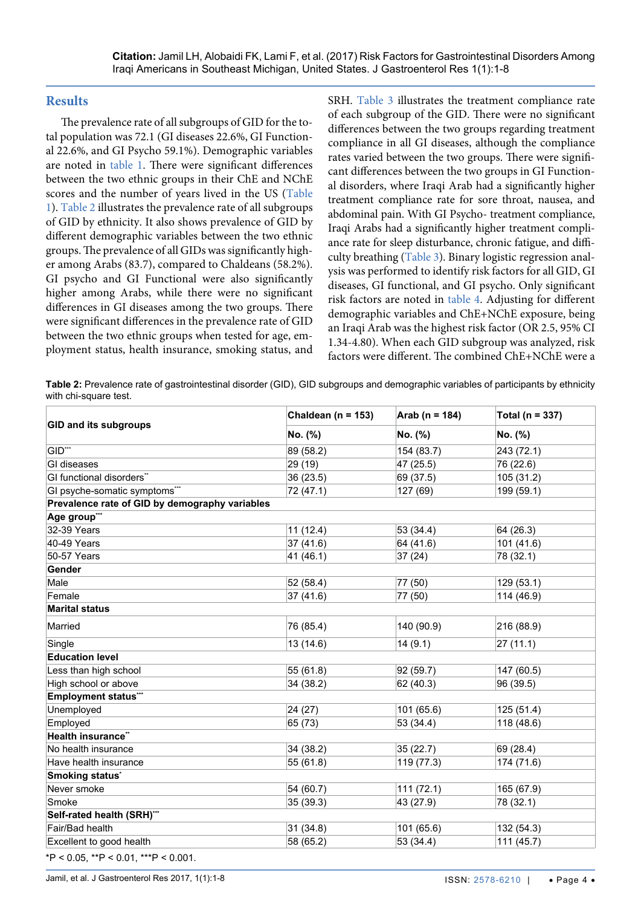#### **Results**

The prevalence rate of all subgroups of GID for the total population was 72.1 (GI diseases 22.6%, GI Functional 22.6%, and GI Psycho 59.1%). Demographic variables are noted in [table 1.](#page-2-0) There were significant differences between the two ethnic groups in their ChE and NChE scores and the number of years lived in the US ([Table](#page-2-0)  [1\)](#page-2-0). [Table 2](#page-3-0) illustrates the prevalence rate of all subgroups of GID by ethnicity. It also shows prevalence of GID by different demographic variables between the two ethnic groups. The prevalence of all GIDs was significantly higher among Arabs (83.7), compared to Chaldeans (58.2%). GI psycho and GI Functional were also significantly higher among Arabs, while there were no significant differences in GI diseases among the two groups. There were significant differences in the prevalence rate of GID between the two ethnic groups when tested for age, employment status, health insurance, smoking status, and SRH. [Table 3](#page-4-0) illustrates the treatment compliance rate of each subgroup of the GID. There were no significant differences between the two groups regarding treatment compliance in all GI diseases, although the compliance rates varied between the two groups. There were significant differences between the two groups in GI Functional disorders, where Iraqi Arab had a significantly higher treatment compliance rate for sore throat, nausea, and abdominal pain. With GI Psycho- treatment compliance, Iraqi Arabs had a significantly higher treatment compliance rate for sleep disturbance, chronic fatigue, and difficulty breathing [\(Table 3\)](#page-4-0). Binary logistic regression analysis was performed to identify risk factors for all GID, GI diseases, GI functional, and GI psycho. Only significant risk factors are noted in [table 4.](#page-4-1) Adjusting for different demographic variables and ChE+NChE exposure, being an Iraqi Arab was the highest risk factor (OR 2.5, 95% CI 1.34-4.80). When each GID subgroup was analyzed, risk factors were different. The combined ChE+NChE were a

<span id="page-3-0"></span>**Table 2:** Prevalence rate of gastrointestinal disorder (GID), GID subgroups and demographic variables of participants by ethnicity with chi-square test.

|                                                | Chaldean ( $n = 153$ ) | Arab ( $n = 184$ ) | Total ( $n = 337$ )<br>No. (%) |  |
|------------------------------------------------|------------------------|--------------------|--------------------------------|--|
| <b>GID and its subgroups</b>                   | No. (%)                | No. (%)            |                                |  |
| GID***                                         | 89 (58.2)              | 154 (83.7)         | 243 (72.1)                     |  |
| GI diseases                                    | 29 (19)                | 47 (25.5)          | 76 (22.6)                      |  |
| GI functional disorders**                      | 36 (23.5)              | 69 (37.5)          | 105 (31.2)                     |  |
| GI psyche-somatic symptoms***                  | 72 (47.1)              | 127 (69)           | 199 (59.1)                     |  |
| Prevalence rate of GID by demography variables |                        |                    |                                |  |
| Age group***                                   |                        |                    |                                |  |
| 32-39 Years                                    | 11(12.4)               | 53 (34.4)          | 64 (26.3)                      |  |
| 40-49 Years                                    | 37(41.6)               | 64 (41.6)          | 101 (41.6)                     |  |
| 50-57 Years                                    | 41 (46.1)              | 37(24)             | 78 (32.1)                      |  |
| Gender                                         |                        |                    |                                |  |
| Male                                           | 52 (58.4)              | 77 (50)            | 129 (53.1)                     |  |
| Female                                         | 37(41.6)               | 77 (50)            | 114 (46.9)                     |  |
| <b>Marital status</b>                          |                        |                    |                                |  |
| Married                                        | 76 (85.4)              | 140 (90.9)         | 216 (88.9)                     |  |
| Single                                         | 13 (14.6)              | 14(9.1)            | 27(11.1)                       |  |
| <b>Education level</b>                         |                        |                    |                                |  |
| Less than high school                          | 55 (61.8)              | 92 (59.7)          | 147 (60.5)                     |  |
| High school or above                           | 34 (38.2)              | 62 (40.3)          | 96 (39.5)                      |  |
| <b>Employment status**</b>                     |                        |                    |                                |  |
| Unemployed                                     | 24 (27)                | 101 (65.6)         | 125 (51.4)                     |  |
| Employed                                       | 65 (73)                | 53 (34.4)          | 118 (48.6)                     |  |
| Health insurance"                              |                        |                    |                                |  |
| No health insurance                            | 34 (38.2)              | 35(22.7)           | 69 (28.4)                      |  |
| Have health insurance                          | 55 (61.8)              | 119 (77.3)         | 174 (71.6)                     |  |
| Smoking status'                                |                        |                    |                                |  |
| Never smoke                                    | 54 (60.7)              | 111(72.1)          | 165 (67.9)                     |  |
| Smoke                                          | 35 (39.3)              | 43 (27.9)          | 78 (32.1)                      |  |
| Self-rated health (SRH)***                     |                        |                    |                                |  |
| Fair/Bad health                                | 31(34.8)               | 101 (65.6)         | 132 (54.3)                     |  |
| Excellent to good health                       | 58 (65.2)              | 53 (34.4)          | 111(45.7)                      |  |
| *P < 0.05, **P < 0.01, ***P < 0.001.           |                        |                    |                                |  |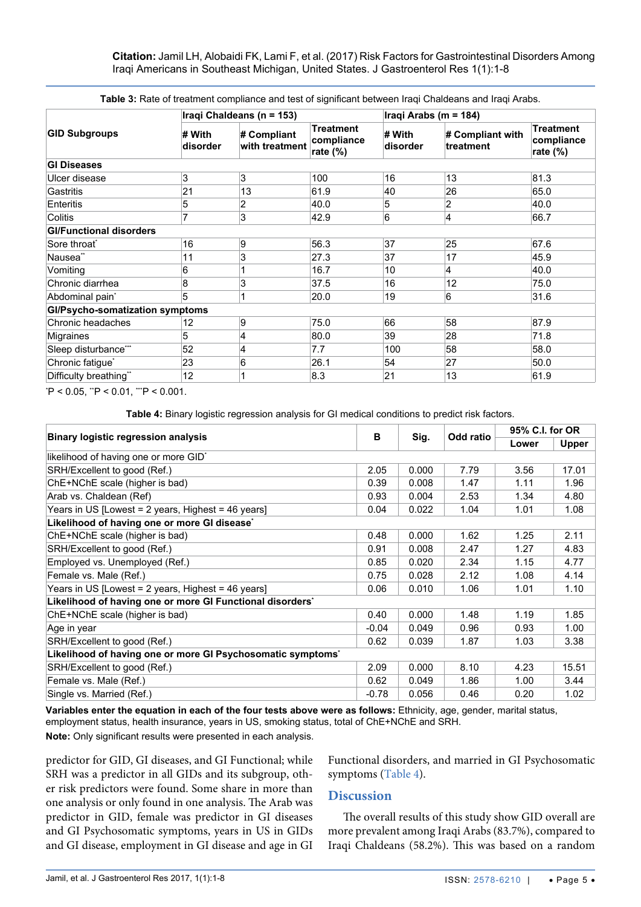**Citation:** Jamil LH, Alobaidi FK, Lami F, et al. (2017) Risk Factors for Gastrointestinal Disorders Among Iraqi Americans in Southeast Michigan, United States. J Gastroenterol Res 1(1):1-8

| <b>GID Subgroups</b>            |                    | Iraqi Chaldeans (n = 153)     |                                               |                    | Iraqi Arabs (m = 184)         |                                               |  |  |
|---------------------------------|--------------------|-------------------------------|-----------------------------------------------|--------------------|-------------------------------|-----------------------------------------------|--|--|
|                                 | # With<br>disorder | # Compliant<br>with treatment | <b>Treatment</b><br>compliance<br>rate $(\%)$ | # With<br>disorder | # Compliant with<br>treatment | <b>Treatment</b><br>compliance<br>rate $(\%)$ |  |  |
| <b>GI Diseases</b>              |                    |                               |                                               |                    |                               |                                               |  |  |
| Ulcer disease                   | 3                  | 3                             | 100                                           | 16                 | 13                            | 81.3                                          |  |  |
| Gastritis                       | 21                 | 13                            | 61.9                                          | 40                 | 26                            | 65.0                                          |  |  |
| Enteritis                       | 5                  | 2                             | 40.0                                          | 5                  | 2                             | 40.0                                          |  |  |
| Colitis                         | 7                  | 3                             | 42.9                                          | 6                  | 4                             | 66.7                                          |  |  |
| <b>GI/Functional disorders</b>  |                    |                               |                                               |                    |                               |                                               |  |  |
| Sore throat <sup>*</sup>        | 16                 | 9                             | 56.3                                          | 37                 | 25                            | 67.6                                          |  |  |
| Nausea <sup>"</sup>             | 11                 | 3                             | 27.3                                          | 37                 | 17                            | 45.9                                          |  |  |
| Vomiting                        | 6                  |                               | 16.7                                          | 10                 | 4                             | 40.0                                          |  |  |
| Chronic diarrhea                | 8                  | 3                             | 37.5                                          | 16                 | 12                            | 75.0                                          |  |  |
| Abdominal pain <sup>*</sup>     | 5                  |                               | 20.0                                          | 19                 | 6                             | 31.6                                          |  |  |
| Gl/Psycho-somatization symptoms |                    |                               |                                               |                    |                               |                                               |  |  |
| Chronic headaches               | 12                 | 9                             | 75.0                                          | 66                 | 58                            | 87.9                                          |  |  |
| Migraines                       | 5                  | 4                             | 80.0                                          | 39                 | 28                            | 71.8                                          |  |  |
| Sleep disturbance***            | 52                 | 4                             | 7.7                                           | 100                | 58                            | 58.0                                          |  |  |
| Chronic fatigue <sup>*</sup>    | 23                 | 6                             | 26.1                                          | 54                 | 27                            | 50.0                                          |  |  |
| Difficulty breathing"           | 12                 |                               | 8.3                                           | 21                 | 13                            | 61.9                                          |  |  |

<span id="page-4-0"></span>**Table 3:** Rate of treatment compliance and test of significant between Iraqi Chaldeans and Iraqi Arabs.

\*P < 0.05, \*\*P < 0.01, \*\*P < 0.001.

<span id="page-4-1"></span>**Table 4:** Binary logistic regression analysis for GI medical conditions to predict risk factors.

|                                                             |         | Sig.  |           | 95% C.I. for OR |              |  |  |
|-------------------------------------------------------------|---------|-------|-----------|-----------------|--------------|--|--|
| <b>Binary logistic regression analysis</b>                  | в       |       | Odd ratio | Lower           | <b>Upper</b> |  |  |
| likelihood of having one or more GID <sup>*</sup>           |         |       |           |                 |              |  |  |
| SRH/Excellent to good (Ref.)                                | 2.05    | 0.000 | 7.79      | 3.56            | 17.01        |  |  |
| ChE+NChE scale (higher is bad)                              | 0.39    | 0.008 | 1.47      | 1.11            | 1.96         |  |  |
| Arab vs. Chaldean (Ref)                                     | 0.93    | 0.004 | 2.53      | 1.34            | 4.80         |  |  |
| Years in US [Lowest = 2 years, Highest = 46 years]          | 0.04    | 0.022 | 1.04      | 1.01            | 1.08         |  |  |
| Likelihood of having one or more GI disease*                |         |       |           |                 |              |  |  |
| ChE+NChE scale (higher is bad)                              | 0.48    | 0.000 | 1.62      | 1.25            | 2.11         |  |  |
| SRH/Excellent to good (Ref.)                                | 0.91    | 0.008 | 2.47      | 1.27            | 4.83         |  |  |
| Employed vs. Unemployed (Ref.)                              | 0.85    | 0.020 | 2.34      | 1.15            | 4.77         |  |  |
| Female vs. Male (Ref.)                                      | 0.75    | 0.028 | 2.12      | 1.08            | 4.14         |  |  |
| Years in US [Lowest = 2 years, Highest = 46 years]          | 0.06    | 0.010 | 1.06      | 1.01            | 1.10         |  |  |
| Likelihood of having one or more GI Functional disorders'   |         |       |           |                 |              |  |  |
| ChE+NChE scale (higher is bad)                              | 0.40    | 0.000 | 1.48      | 1.19            | 1.85         |  |  |
| Age in year                                                 | $-0.04$ | 0.049 | 0.96      | 0.93            | 1.00         |  |  |
| SRH/Excellent to good (Ref.)                                | 0.62    | 0.039 | 1.87      | 1.03            | 3.38         |  |  |
| Likelihood of having one or more GI Psychosomatic symptoms' |         |       |           |                 |              |  |  |
| SRH/Excellent to good (Ref.)                                | 2.09    | 0.000 | 8.10      | 4.23            | 15.51        |  |  |
| Female vs. Male (Ref.)                                      | 0.62    | 0.049 | 1.86      | 1.00            | 3.44         |  |  |
| Single vs. Married (Ref.)                                   | $-0.78$ | 0.056 | 0.46      | 0.20            | 1.02         |  |  |

**Variables enter the equation in each of the four tests above were as follows:** Ethnicity, age, gender, marital status, employment status, health insurance, years in US, smoking status, total of ChE+NChE and SRH.

**Note:** Only significant results were presented in each analysis.

predictor for GID, GI diseases, and GI Functional; while SRH was a predictor in all GIDs and its subgroup, other risk predictors were found. Some share in more than one analysis or only found in one analysis. The Arab was predictor in GID, female was predictor in GI diseases and GI Psychosomatic symptoms, years in US in GIDs and GI disease, employment in GI disease and age in GI

Functional disorders, and married in GI Psychosomatic symptoms ([Table 4](#page-4-1)).

#### **Discussion**

The overall results of this study show GID overall are more prevalent among Iraqi Arabs (83.7%), compared to Iraqi Chaldeans (58.2%). This was based on a random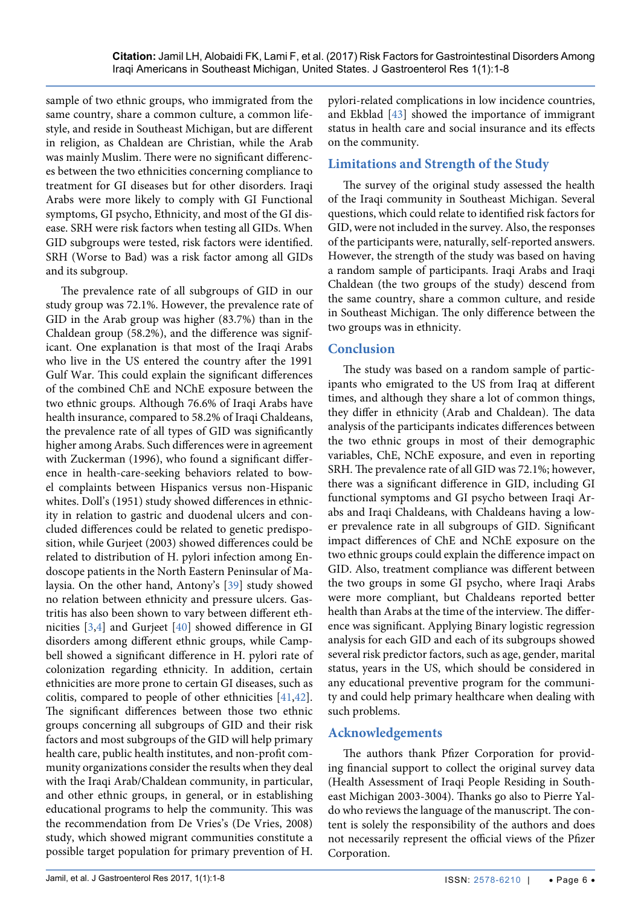sample of two ethnic groups, who immigrated from the same country, share a common culture, a common lifestyle, and reside in Southeast Michigan, but are different in religion, as Chaldean are Christian, while the Arab was mainly Muslim. There were no significant differences between the two ethnicities concerning compliance to treatment for GI diseases but for other disorders. Iraqi Arabs were more likely to comply with GI Functional symptoms, GI psycho, Ethnicity, and most of the GI disease. SRH were risk factors when testing all GIDs. When GID subgroups were tested, risk factors were identified. SRH (Worse to Bad) was a risk factor among all GIDs and its subgroup.

The prevalence rate of all subgroups of GID in our study group was 72.1%. However, the prevalence rate of GID in the Arab group was higher (83.7%) than in the Chaldean group (58.2%), and the difference was significant. One explanation is that most of the Iraqi Arabs who live in the US entered the country after the 1991 Gulf War. This could explain the significant differences of the combined ChE and NChE exposure between the two ethnic groups. Although 76.6% of Iraqi Arabs have health insurance, compared to 58.2% of Iraqi Chaldeans, the prevalence rate of all types of GID was significantly higher among Arabs. Such differences were in agreement with Zuckerman (1996), who found a significant difference in health-care-seeking behaviors related to bowel complaints between Hispanics versus non-Hispanic whites. Doll's (1951) study showed differences in ethnicity in relation to gastric and duodenal ulcers and concluded differences could be related to genetic predisposition, while Gurjeet (2003) showed differences could be related to distribution of H. pylori infection among Endoscope patients in the North Eastern Peninsular of Malaysia. On the other hand, Antony's [\[39](#page-7-5)] study showed no relation between ethnicity and pressure ulcers. Gastritis has also been shown to vary between different ethnicities [[3](#page-6-31)[,4\]](#page-6-1) and Gurjeet [\[40\]](#page-7-6) showed difference in GI disorders among different ethnic groups, while Campbell showed a significant difference in H. pylori rate of colonization regarding ethnicity. In addition, certain ethnicities are more prone to certain GI diseases, such as colitis, compared to people of other ethnicities [[41](#page-7-7),[42](#page-7-8)]. The significant differences between those two ethnic groups concerning all subgroups of GID and their risk factors and most subgroups of the GID will help primary health care, public health institutes, and non-profit community organizations consider the results when they deal with the Iraqi Arab/Chaldean community, in particular, and other ethnic groups, in general, or in establishing educational programs to help the community. This was the recommendation from De Vries's (De Vries, 2008) study, which showed migrant communities constitute a possible target population for primary prevention of H. pylori-related complications in low incidence countries, and Ekblad [[43](#page-7-4)] showed the importance of immigrant status in health care and social insurance and its effects on the community.

# **Limitations and Strength of the Study**

The survey of the original study assessed the health of the Iraqi community in Southeast Michigan. Several questions, which could relate to identified risk factors for GID, were not included in the survey. Also, the responses of the participants were, naturally, self-reported answers. However, the strength of the study was based on having a random sample of participants. Iraqi Arabs and Iraqi Chaldean (the two groups of the study) descend from the same country, share a common culture, and reside in Southeast Michigan. The only difference between the two groups was in ethnicity.

# **Conclusion**

The study was based on a random sample of participants who emigrated to the US from Iraq at different times, and although they share a lot of common things, they differ in ethnicity (Arab and Chaldean). The data analysis of the participants indicates differences between the two ethnic groups in most of their demographic variables, ChE, NChE exposure, and even in reporting SRH. The prevalence rate of all GID was 72.1%; however, there was a significant difference in GID, including GI functional symptoms and GI psycho between Iraqi Arabs and Iraqi Chaldeans, with Chaldeans having a lower prevalence rate in all subgroups of GID. Significant impact differences of ChE and NChE exposure on the two ethnic groups could explain the difference impact on GID. Also, treatment compliance was different between the two groups in some GI psycho, where Iraqi Arabs were more compliant, but Chaldeans reported better health than Arabs at the time of the interview. The difference was significant. Applying Binary logistic regression analysis for each GID and each of its subgroups showed several risk predictor factors, such as age, gender, marital status, years in the US, which should be considered in any educational preventive program for the community and could help primary healthcare when dealing with such problems.

# **Acknowledgements**

The authors thank Pfizer Corporation for providing financial support to collect the original survey data (Health Assessment of Iraqi People Residing in Southeast Michigan 2003-3004). Thanks go also to Pierre Yaldo who reviews the language of the manuscript. The content is solely the responsibility of the authors and does not necessarily represent the official views of the Pfizer Corporation.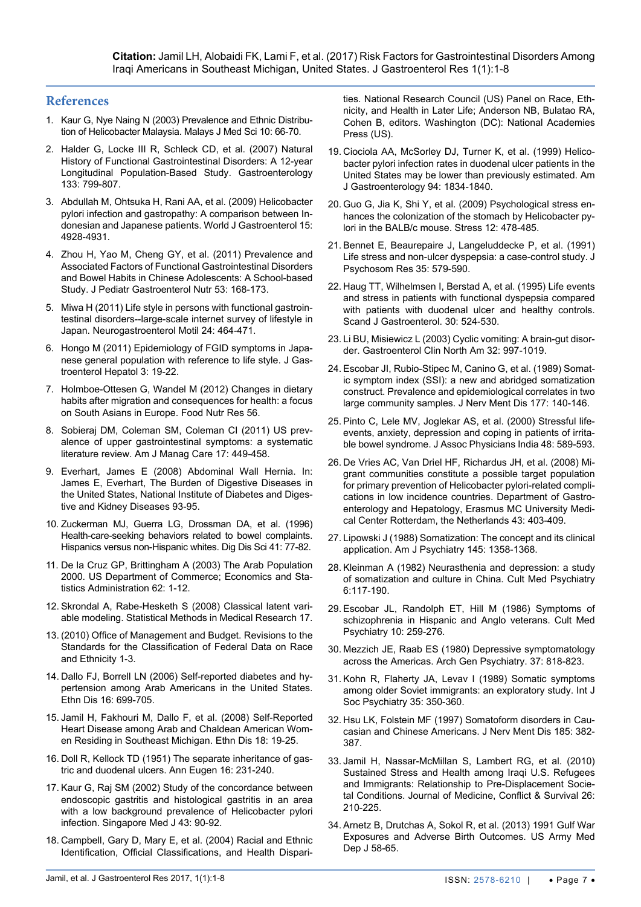#### **References**

- <span id="page-6-0"></span>1. [Kaur G, Nye Naing N \(2003\) Prevalence and Ethnic Distribu](https://www.ncbi.nlm.nih.gov/pubmed/?term=Prevalence+and+Ethnic+Distribution+of+Helicobacter+Malaysia)[tion of Helicobacter Malaysia. Malays J Med Sci 10: 66-70.](https://www.ncbi.nlm.nih.gov/pubmed/?term=Prevalence+and+Ethnic+Distribution+of+Helicobacter+Malaysia)
- 2. [Halder G, Locke III R, Schleck CD, et al. \(2007\) Natural](https://www.ncbi.nlm.nih.gov/pubmed/17678917https:/www.ncbi.nlm.nih.gov/pubmed/?term=Schleck%20CD%5BAuthor%5D&cauthor=true&cauthor_uid=17678917)  [History of Functional Gastrointestinal Disorders: A 12-year](https://www.ncbi.nlm.nih.gov/pubmed/17678917https:/www.ncbi.nlm.nih.gov/pubmed/?term=Schleck%20CD%5BAuthor%5D&cauthor=true&cauthor_uid=17678917)  [Longitudinal Population-Based Study. Gastroenterology](https://www.ncbi.nlm.nih.gov/pubmed/17678917https:/www.ncbi.nlm.nih.gov/pubmed/?term=Schleck%20CD%5BAuthor%5D&cauthor=true&cauthor_uid=17678917)  [133: 799-807.](https://www.ncbi.nlm.nih.gov/pubmed/17678917https:/www.ncbi.nlm.nih.gov/pubmed/?term=Schleck%20CD%5BAuthor%5D&cauthor=true&cauthor_uid=17678917)
- <span id="page-6-31"></span>3. [Abdullah M, Ohtsuka H, Rani AA, et al. \(2009\) Helicobacter](https://www.ncbi.nlm.nih.gov/pmc/articles/PMC2764971/)  [pylori infection and gastropathy: A comparison between In](https://www.ncbi.nlm.nih.gov/pmc/articles/PMC2764971/)[donesian and Japanese patients. World J Gastroenterol 15:](https://www.ncbi.nlm.nih.gov/pmc/articles/PMC2764971/)  [4928-4931.](https://www.ncbi.nlm.nih.gov/pmc/articles/PMC2764971/)
- <span id="page-6-1"></span>4. Zhou H, Yao M, [Cheng GY, et al. \(2011\) Prevalence and](https://www.ncbi.nlm.nih.gov/pubmed/?term=Prevalence+and+Associated+Factors+of+Functional+Gastrointestinal+Disorders+and+Bowel+Habits+in+Chinese+Adolescents%3A+A+School-based+Study)  [Associated Factors of Functional Gastrointestinal Disorders](https://www.ncbi.nlm.nih.gov/pubmed/?term=Prevalence+and+Associated+Factors+of+Functional+Gastrointestinal+Disorders+and+Bowel+Habits+in+Chinese+Adolescents%3A+A+School-based+Study)  [and Bowel Habits in Chinese Adolescents: A School-based](https://www.ncbi.nlm.nih.gov/pubmed/?term=Prevalence+and+Associated+Factors+of+Functional+Gastrointestinal+Disorders+and+Bowel+Habits+in+Chinese+Adolescents%3A+A+School-based+Study)  [Study. J Pediatr Gastroenterol Nutr 53: 168-173.](https://www.ncbi.nlm.nih.gov/pubmed/?term=Prevalence+and+Associated+Factors+of+Functional+Gastrointestinal+Disorders+and+Bowel+Habits+in+Chinese+Adolescents%3A+A+School-based+Study)
- <span id="page-6-2"></span>5. [Miwa H \(2011\) Life style in persons with functional gastroin](https://www.ncbi.nlm.nih.gov/pubmed/?term=Life+style+in+persons+with+functional+gastrointestinal+disorders--large-scale+internet+survey+of+lifestyle+in+Japan)[testinal disorders--large-scale internet survey of lifestyle in](https://www.ncbi.nlm.nih.gov/pubmed/?term=Life+style+in+persons+with+functional+gastrointestinal+disorders--large-scale+internet+survey+of+lifestyle+in+Japan)  [Japan. Neurogastroenterol Motil 24: 464-471.](https://www.ncbi.nlm.nih.gov/pubmed/?term=Life+style+in+persons+with+functional+gastrointestinal+disorders--large-scale+internet+survey+of+lifestyle+in+Japan)
- <span id="page-6-3"></span>6. [Hongo M \(2011\) Epidemiology](https://www.ncbi.nlm.nih.gov/pubmed/?term=Epidemiology+of+FGID+symptoms+in+Japanese+general+population+with+reference+to+life+style) of FGID symptoms in Japa[nese general population with reference to life style. J Gas](https://www.ncbi.nlm.nih.gov/pubmed/?term=Epidemiology+of+FGID+symptoms+in+Japanese+general+population+with+reference+to+life+style)[troenterol Hepatol](https://www.ncbi.nlm.nih.gov/pubmed/?term=Epidemiology+of+FGID+symptoms+in+Japanese+general+population+with+reference+to+life+style) 3: 19-22.
- <span id="page-6-4"></span>7. [Holmboe-Ottesen G, Wandel M \(2012\) Changes in dietary](https://www.ncbi.nlm.nih.gov/pubmed/?term=Changes+in+dietary+habits+after+migration+and+consequences+for+health%3A+a+focus+on+South+Asians+in+Europe)  [habits after migration and consequences for health: a focus](https://www.ncbi.nlm.nih.gov/pubmed/?term=Changes+in+dietary+habits+after+migration+and+consequences+for+health%3A+a+focus+on+South+Asians+in+Europe)  [on South Asians in Europe. Food Nutr Res 56.](https://www.ncbi.nlm.nih.gov/pubmed/?term=Changes+in+dietary+habits+after+migration+and+consequences+for+health%3A+a+focus+on+South+Asians+in+Europe)
- <span id="page-6-5"></span>8. Sobieraj DM, Coleman SM, [Coleman CI \(2011\) US prev](https://www.ncbi.nlm.nih.gov/pubmed/22200062)[alence of upper gastrointestinal symptoms: a systematic](https://www.ncbi.nlm.nih.gov/pubmed/22200062)  [literature review. Am J Manag Care 17: 449-458.](https://www.ncbi.nlm.nih.gov/pubmed/22200062)
- <span id="page-6-6"></span>9. [Everhart, James E \(2008\) Abdominal Wall Hernia. In:](https://www.niddk.nih.gov/about-niddk/strategic-plans-reports/Pages/burden-digestive-diseases-united-states.aspx)  [James E, Everhart, The Burden of Digestive Diseases in](https://www.niddk.nih.gov/about-niddk/strategic-plans-reports/Pages/burden-digestive-diseases-united-states.aspx)  [the United States, National Institute of Diabetes and Diges](https://www.niddk.nih.gov/about-niddk/strategic-plans-reports/Pages/burden-digestive-diseases-united-states.aspx)[tive and Kidney Diseases 93-95.](https://www.niddk.nih.gov/about-niddk/strategic-plans-reports/Pages/burden-digestive-diseases-united-states.aspx)
- <span id="page-6-7"></span>10. [Zuckerman MJ, Guerra LG, Drossman DA, et al. \(1996\)](https://www.ncbi.nlm.nih.gov/pubmed/?term=Health-care-seeking+behaviors+related+to+bowel+complaints.+Hispanics+versus+non-Hispanic+whites)  [Health-care-seeking behaviors related to bowel complaints.](https://www.ncbi.nlm.nih.gov/pubmed/?term=Health-care-seeking+behaviors+related+to+bowel+complaints.+Hispanics+versus+non-Hispanic+whites)  [Hispanics versus non-Hispanic whites. Dig Dis Sci 41: 77-82.](https://www.ncbi.nlm.nih.gov/pubmed/?term=Health-care-seeking+behaviors+related+to+bowel+complaints.+Hispanics+versus+non-Hispanic+whites)
- <span id="page-6-8"></span>11. [De la Cruz GP, Brittingham A \(2003\) The Arab Population](https://www.census.gov/prod/2003pubs/c2kbr-23.pdf)  [2000. US Department of Commerce; Economics and Sta](https://www.census.gov/prod/2003pubs/c2kbr-23.pdf)[tistics Administration 62: 1-12.](https://www.census.gov/prod/2003pubs/c2kbr-23.pdf)
- <span id="page-6-9"></span>12. [Skrondal A, Rabe-Hesketh S \(2008\) Classical latent vari](http://escholarship.org/uc/item/3gz2p5ch)[able modeling. Statistical Methods in Medical Research 17.](http://escholarship.org/uc/item/3gz2p5ch)
- <span id="page-6-10"></span>13. [\(2010\) Office of Management and Budget. Revisions to the](https://nces.ed.gov/programs/handbook/data/pdf/Appendix_A.pdf)  [Standards for the Classification of Federal Data on Race](https://nces.ed.gov/programs/handbook/data/pdf/Appendix_A.pdf)  [and Ethnicity 1-3.](https://nces.ed.gov/programs/handbook/data/pdf/Appendix_A.pdf)
- <span id="page-6-11"></span>14. [Dallo FJ, Borrell LN \(2006\) Self-reported diabetes and hy](https://www.ncbi.nlm.nih.gov/pubmed/16937607)[pertension among Arab Americans in the United States.](https://www.ncbi.nlm.nih.gov/pubmed/16937607)  [Ethn Dis 16: 699-705.](https://www.ncbi.nlm.nih.gov/pubmed/16937607)
- <span id="page-6-12"></span>15. [Jamil H, Fakhouri M, Dallo F, et al. \(2008\) Self-Reported](https://www.ncbi.nlm.nih.gov/pubmed/?term=Self-Reported+Heart+Disease+among+Arab+and+Chaldean+American+Women+Residing+in+Southeast+Michigan)  [Heart Disease among Arab and Chaldean American Wom](https://www.ncbi.nlm.nih.gov/pubmed/?term=Self-Reported+Heart+Disease+among+Arab+and+Chaldean+American+Women+Residing+in+Southeast+Michigan)[en Residing in Southeast Michigan. Ethn Dis 18: 19-25.](https://www.ncbi.nlm.nih.gov/pubmed/?term=Self-Reported+Heart+Disease+among+Arab+and+Chaldean+American+Women+Residing+in+Southeast+Michigan)
- <span id="page-6-13"></span>16. [Doll R, Kellock TD \(1951\) The separate inheritance of gas](https://www.ncbi.nlm.nih.gov/pubmed/14903774)[tric and duodenal ulcers. Ann Eugen 16: 231-240.](https://www.ncbi.nlm.nih.gov/pubmed/14903774)
- <span id="page-6-14"></span>17. [Kaur G, Raj SM \(2002\) Study of the concordance between](https://www.ncbi.nlm.nih.gov/pubmed/11993896)  [endoscopic gastritis and histological gastritis in an area](https://www.ncbi.nlm.nih.gov/pubmed/11993896)  [with a low background prevalence of Helicobacter pylori](https://www.ncbi.nlm.nih.gov/pubmed/11993896)  [infection. Singapore Med J 43: 90-92.](https://www.ncbi.nlm.nih.gov/pubmed/11993896)
- <span id="page-6-15"></span>18. [Campbell, Gary D, Mary E, et al. \(2004\) Racial and Ethnic](https://www.ncbi.nlm.nih.gov/books/NBK25522/)  [Identification, Official Classifications, and Health Dispari](https://www.ncbi.nlm.nih.gov/books/NBK25522/)-

[ties. National Research Council \(US\) Panel on Race, Eth](https://www.ncbi.nlm.nih.gov/books/NBK25522/)[nicity, and Health in Later Life; Anderson NB, Bulatao RA,](https://www.ncbi.nlm.nih.gov/books/NBK25522/)  [Cohen B, editors. Washington \(DC\):](https://www.ncbi.nlm.nih.gov/books/NBK25522/) National Academies [Press \(US\).](https://www.ncbi.nlm.nih.gov/books/NBK25522/)

- <span id="page-6-16"></span>19. [Ciociola AA, McSorley DJ, Turner K, et al. \(1999\) Helico](https://www.ncbi.nlm.nih.gov/pubmed/?term=Helicobacter+pylori+infection+rates+in+duodenal+ulcer+patients+in+the+United+States+may+be+lower+than+previously+estimated)[bacter pylori infection rates in duodenal ulcer patients in the](https://www.ncbi.nlm.nih.gov/pubmed/?term=Helicobacter+pylori+infection+rates+in+duodenal+ulcer+patients+in+the+United+States+may+be+lower+than+previously+estimated)  [United States may be lower than previously estimated. Am](https://www.ncbi.nlm.nih.gov/pubmed/?term=Helicobacter+pylori+infection+rates+in+duodenal+ulcer+patients+in+the+United+States+may+be+lower+than+previously+estimated)  [J Gastroenterology 94: 1834-1840.](https://www.ncbi.nlm.nih.gov/pubmed/?term=Helicobacter+pylori+infection+rates+in+duodenal+ulcer+patients+in+the+United+States+may+be+lower+than+previously+estimated)
- <span id="page-6-17"></span>20. [Guo G, Jia K, Shi Y, et al. \(2009\) Psychological stress en](https://www.ncbi.nlm.nih.gov/pubmed/?term=Psychological+stress+enhances+the+colonization+of+the+stomach+by+Helicobacter+pylori+in+the+BALB%2Fc+mouse)[hances the colonization of the stomach by Helicobacter py](https://www.ncbi.nlm.nih.gov/pubmed/?term=Psychological+stress+enhances+the+colonization+of+the+stomach+by+Helicobacter+pylori+in+the+BALB%2Fc+mouse)[lori in the BALB/c mouse. Stress 12: 478-485.](https://www.ncbi.nlm.nih.gov/pubmed/?term=Psychological+stress+enhances+the+colonization+of+the+stomach+by+Helicobacter+pylori+in+the+BALB%2Fc+mouse)
- <span id="page-6-18"></span>21. [Bennet E, Beaurepaire J, Langeluddecke P, et al. \(1991\)](https://www.ncbi.nlm.nih.gov/pubmed/1920185)  [Life stress and non-ulcer dyspepsia: a case-control study. J](https://www.ncbi.nlm.nih.gov/pubmed/1920185)  [Psychosom Res 35: 579-590.](https://www.ncbi.nlm.nih.gov/pubmed/1920185)
- <span id="page-6-19"></span>22. [Haug TT, Wilhelmsen I, Berstad A, et al. \(1995\) Life events](https://www.ncbi.nlm.nih.gov/pubmed/7569758)  [and stress in patients with functional dyspepsia compared](https://www.ncbi.nlm.nih.gov/pubmed/7569758)  [with patients with duodenal ulcer and healthy controls.](https://www.ncbi.nlm.nih.gov/pubmed/7569758)  [Scand J Gastroenterol. 30: 524-530.](https://www.ncbi.nlm.nih.gov/pubmed/7569758)
- <span id="page-6-20"></span>23. [Li BU, Misiewicz L \(2003\) Cyclic vomiting: A brain-gut disor](https://www.ncbi.nlm.nih.gov/pubmed/14562585)[der. Gastroenterol Clin North Am 32: 997-1019.](https://www.ncbi.nlm.nih.gov/pubmed/14562585)
- <span id="page-6-21"></span>24. [Escobar JI, Rubio-Stipec M, Canino G, et al. \(1989\) Somat](https://www.ncbi.nlm.nih.gov/pubmed/?term=Somatic+symptom+index+(SSI)%3A+a+new+and+abridged+somatization+construct.+Prevalence+and+epidemiological+correlates+in+two+large+community+samples)[ic symptom index \(SSI\): a new and abridged somatization](https://www.ncbi.nlm.nih.gov/pubmed/?term=Somatic+symptom+index+(SSI)%3A+a+new+and+abridged+somatization+construct.+Prevalence+and+epidemiological+correlates+in+two+large+community+samples)  [construct. Prevalence and epidemiological correlates in two](https://www.ncbi.nlm.nih.gov/pubmed/?term=Somatic+symptom+index+(SSI)%3A+a+new+and+abridged+somatization+construct.+Prevalence+and+epidemiological+correlates+in+two+large+community+samples)  [large community samples. J Nerv Ment Dis 177: 140-146.](https://www.ncbi.nlm.nih.gov/pubmed/?term=Somatic+symptom+index+(SSI)%3A+a+new+and+abridged+somatization+construct.+Prevalence+and+epidemiological+correlates+in+two+large+community+samples)
- <span id="page-6-22"></span>25. [Pinto C, Lele MV, Joglekar AS, et al. \(2000\) Stressful life](https://www.ncbi.nlm.nih.gov/pubmed/11273536)[events, anxiety, depression and coping in patients of irrita](https://www.ncbi.nlm.nih.gov/pubmed/11273536)[ble bowel syndrome. J Assoc Physicians India 48: 589-593.](https://www.ncbi.nlm.nih.gov/pubmed/11273536)
- <span id="page-6-23"></span>26. De Vries AC, Van Driel HF, Richardus JH, [et al. \(2008\) Mi](https://www.ncbi.nlm.nih.gov/pubmed/?term=Migrant+communities+constitute+a+possible+target+population+for+primary+prevention+of+Helicobacter+pylori-related+complications+in+low+incidence+countries.+Department+of+Gastroenterology+and+Hepatology%2C+Erasmus+M)[grant communities constitute a possible target population](https://www.ncbi.nlm.nih.gov/pubmed/?term=Migrant+communities+constitute+a+possible+target+population+for+primary+prevention+of+Helicobacter+pylori-related+complications+in+low+incidence+countries.+Department+of+Gastroenterology+and+Hepatology%2C+Erasmus+M)  [for primary prevention of Helicobacter pylori-related compli](https://www.ncbi.nlm.nih.gov/pubmed/?term=Migrant+communities+constitute+a+possible+target+population+for+primary+prevention+of+Helicobacter+pylori-related+complications+in+low+incidence+countries.+Department+of+Gastroenterology+and+Hepatology%2C+Erasmus+M)[cations in low incidence countries. Department of Gastro](https://www.ncbi.nlm.nih.gov/pubmed/?term=Migrant+communities+constitute+a+possible+target+population+for+primary+prevention+of+Helicobacter+pylori-related+complications+in+low+incidence+countries.+Department+of+Gastroenterology+and+Hepatology%2C+Erasmus+M)[enterology and Hepatology, Erasmus MC University Medi](https://www.ncbi.nlm.nih.gov/pubmed/?term=Migrant+communities+constitute+a+possible+target+population+for+primary+prevention+of+Helicobacter+pylori-related+complications+in+low+incidence+countries.+Department+of+Gastroenterology+and+Hepatology%2C+Erasmus+M)[cal Center Rotterdam, the Netherlands 43: 403-409.](https://www.ncbi.nlm.nih.gov/pubmed/?term=Migrant+communities+constitute+a+possible+target+population+for+primary+prevention+of+Helicobacter+pylori-related+complications+in+low+incidence+countries.+Department+of+Gastroenterology+and+Hepatology%2C+Erasmus+M)
- <span id="page-6-24"></span>27. [Lipowski J \(1988\) Somatization: The concept and its clinical](https://www.ncbi.nlm.nih.gov/pubmed/3056044)  [application. Am J Psychiatry 145: 1358-1368.](https://www.ncbi.nlm.nih.gov/pubmed/3056044)
- <span id="page-6-25"></span>28. [Kleinman A \(1982\) Neurasthenia and depression: a study](file:///E:/Clinmed/TSP/TSP%20Articles/tspo/Volume%201/Vol%201.1/tspo_Ai/Neurasthenia and depression: a study of somatization and culture in China)  [of somatization and culture in China. Cult Med Psychiatry](file:///E:/Clinmed/TSP/TSP%20Articles/tspo/Volume%201/Vol%201.1/tspo_Ai/Neurasthenia and depression: a study of somatization and culture in China)  [6:117-190.](file:///E:/Clinmed/TSP/TSP%20Articles/tspo/Volume%201/Vol%201.1/tspo_Ai/Neurasthenia and depression: a study of somatization and culture in China)
- <span id="page-6-26"></span>29. [Escobar JL, Randolph ET, Hill M \(1986\) Symptoms of](https://www.ncbi.nlm.nih.gov/pubmed/3757542)  [schizophrenia in Hispanic and Anglo veterans. Cult Med](https://www.ncbi.nlm.nih.gov/pubmed/3757542)  [Psychiatry 10: 259-276.](https://www.ncbi.nlm.nih.gov/pubmed/3757542)
- <span id="page-6-27"></span>30. [Mezzich JE, Raab ES \(1980\) Depressive symptomatology](https://www.ncbi.nlm.nih.gov/pubmed/7396661)  [across the Americas. Arch Gen Psychiatry. 37: 818-823.](https://www.ncbi.nlm.nih.gov/pubmed/7396661)
- 31. [Kohn R, Flaherty JA, Levav I \(1989\) Somatic symptoms](https://www.ncbi.nlm.nih.gov/pubmed/2628379)  [among older Soviet immigrants: an exploratory study. Int J](https://www.ncbi.nlm.nih.gov/pubmed/2628379)  [Soc Psychiatry 35: 350-360.](https://www.ncbi.nlm.nih.gov/pubmed/2628379)
- <span id="page-6-28"></span>32. [Hsu LK, Folstein MF \(1997\) Somatoform disorders in Cau](https://www.ncbi.nlm.nih.gov/pubmed/9205424)[casian and Chinese Americans. J Nerv Ment Dis 185: 382-](https://www.ncbi.nlm.nih.gov/pubmed/9205424) [387.](https://www.ncbi.nlm.nih.gov/pubmed/9205424)
- <span id="page-6-29"></span>33. Jamil H, Nassar-McMillan S, Lambert RG, et al. (2010) Sustained Stress and Health among Iraqi U.S. Refugees and Immigrants: Relationship to Pre-Displacement Societal Conditions. Journal of Medicine, Conflict & Survival 26: 210-225.
- <span id="page-6-30"></span>34. [Arnetz B, Drutchas A, Sokol R, et al. \(2013\) 1991 Gulf War](https://www.ncbi.nlm.nih.gov/pmc/articles/PMC3930470/)  [Exposures and Adverse Birth Outcomes. US Army Med](https://www.ncbi.nlm.nih.gov/pmc/articles/PMC3930470/)  [Dep J 58-65.](https://www.ncbi.nlm.nih.gov/pmc/articles/PMC3930470/)